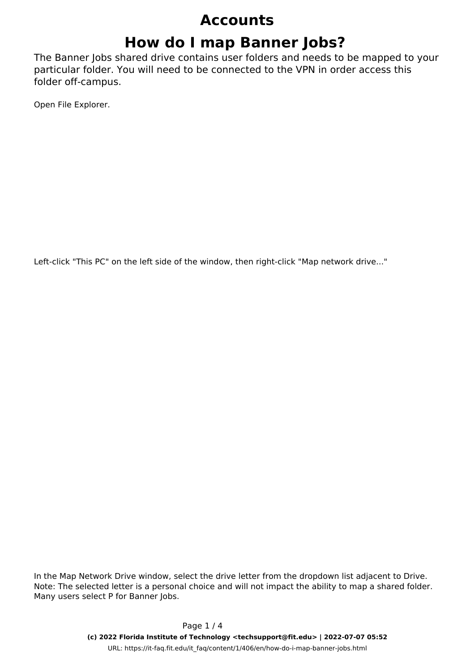# **How do I map Banner Jobs?**

The Banner Jobs shared drive contains user folders and needs to be mapped to your particular folder. You will need to be connected to the VPN in order access this folder off-campus.

Open File Explorer.

Left-click "This PC" on the left side of the window, then right-click "Map network drive..."

In the Map Network Drive window, select the drive letter from the dropdown list adjacent to Drive. *Note: The selected letter is a personal choice and will not impact the ability to map a shared folder. Many users select P for Banner Jobs.*

> Page 1 / 4 **(c) 2022 Florida Institute of Technology <techsupport@fit.edu> | 2022-07-07 05:52** URL: https://it-faq.fit.edu/it\_faq/content/1/406/en/how-do-i-map-banner-jobs.html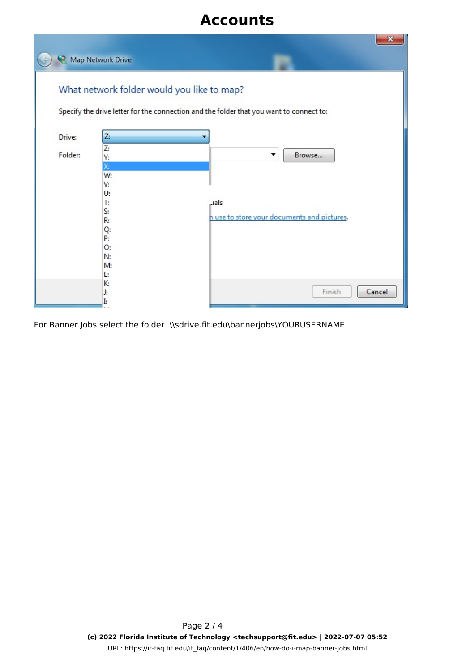| $\mathbf x$<br>Map Network Drive                                                                                                      |                                                                                                    |                                                                     |
|---------------------------------------------------------------------------------------------------------------------------------------|----------------------------------------------------------------------------------------------------|---------------------------------------------------------------------|
| What network folder would you like to map?<br>Specify the drive letter for the connection and the folder that you want to connect to: |                                                                                                    |                                                                     |
| Drive:<br>Folder:                                                                                                                     | Z:<br>Z:<br>Υ:<br>X:<br>W:<br>V:<br>U:<br>T:<br>S:<br>R:<br>Q:<br>P:<br>0:<br>N:<br>M:<br>Ŀ.<br>К: | Browse<br>▼<br>Lials<br>n use to store your documents and pictures. |
|                                                                                                                                       | J:<br>Ŀ                                                                                            | Finish<br>Cancel                                                    |

For Banner Jobs s[elect the folder \\sdrive.fit.edu\bannerjobs\YOURUSERNAME](https://it-faq.fit.edu/it_faq/content/1/406/en/how-do-i-map-banner-jobs.html)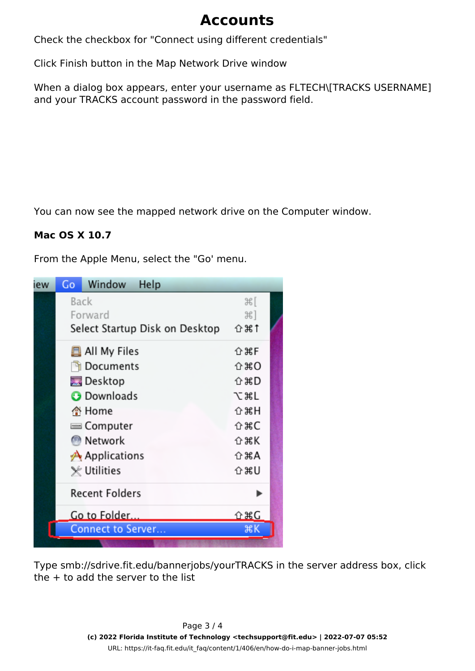Check the checkbox for "Connect using different credentials"

Click Finish button in the Map Network Drive window

When a dialog box appears, enter your username as FLTECH\[TRACKS USERNAME] and your TRACKS account password in the password field.

You can now see the mapped network drive on the Computer window.

#### **Mac OS X 10.7**

From the Apple Menu, select the "Go' menu.



Type smb://sdrive.fit.edu/bannerjobs/yourTRACKS in the server address box, click the  $+$  to add the server to the list